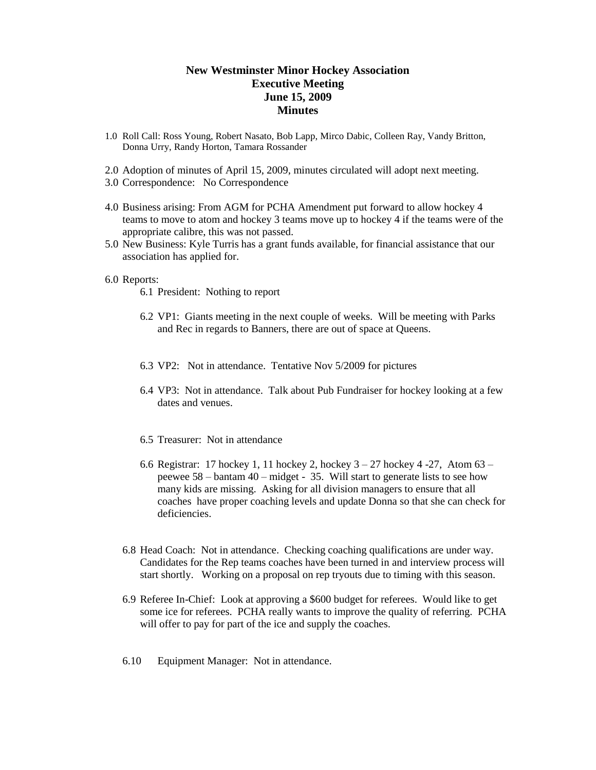## **New Westminster Minor Hockey Association Executive Meeting June 15, 2009 Minutes**

- 1.0 Roll Call: Ross Young, Robert Nasato, Bob Lapp, Mirco Dabic, Colleen Ray, Vandy Britton, Donna Urry, Randy Horton, Tamara Rossander
- 2.0 Adoption of minutes of April 15, 2009, minutes circulated will adopt next meeting.
- 3.0 Correspondence: No Correspondence
- 4.0 Business arising: From AGM for PCHA Amendment put forward to allow hockey 4 teams to move to atom and hockey 3 teams move up to hockey 4 if the teams were of the appropriate calibre, this was not passed.
- 5.0 New Business: Kyle Turris has a grant funds available, for financial assistance that our association has applied for.

## 6.0 Reports:

- 6.1 President: Nothing to report
- 6.2 VP1: Giants meeting in the next couple of weeks. Will be meeting with Parks and Rec in regards to Banners, there are out of space at Queens.
- 6.3 VP2: Not in attendance. Tentative Nov 5/2009 for pictures
- 6.4 VP3: Not in attendance. Talk about Pub Fundraiser for hockey looking at a few dates and venues.
- 6.5 Treasurer: Not in attendance
- 6.6 Registrar: 17 hockey 1, 11 hockey 2, hockey 3 27 hockey 4 -27, Atom 63 peewee 58 – bantam 40 – midget - 35. Will start to generate lists to see how many kids are missing. Asking for all division managers to ensure that all coaches have proper coaching levels and update Donna so that she can check for deficiencies.
- 6.8 Head Coach: Not in attendance. Checking coaching qualifications are under way. Candidates for the Rep teams coaches have been turned in and interview process will start shortly. Working on a proposal on rep tryouts due to timing with this season.
- 6.9 Referee In-Chief: Look at approving a \$600 budget for referees. Would like to get some ice for referees. PCHA really wants to improve the quality of referring. PCHA will offer to pay for part of the ice and supply the coaches.
- 6.10 Equipment Manager: Not in attendance.